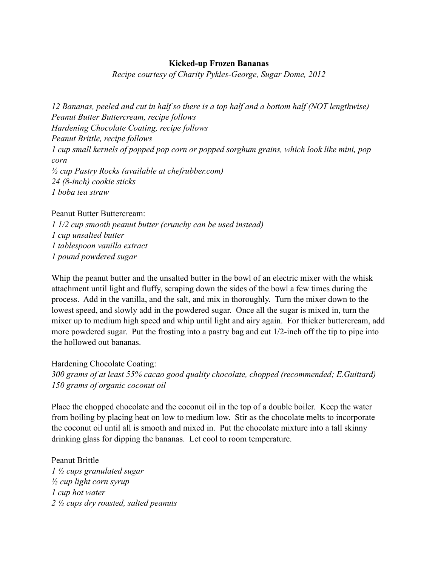## **Kicked-up Frozen Bananas**

*Recipe courtesy of Charity Pykles-George, Sugar Dome, 2012*

*12 Bananas, peeled and cut in half so there is a top half and a bottom half (NOT lengthwise) Peanut Butter Buttercream, recipe follows Hardening Chocolate Coating, recipe follows Peanut Brittle, recipe follows 1 cup small kernels of popped pop corn or popped sorghum grains, which look like mini, pop corn ½ cup Pastry Rocks (available at chefrubber.com) 24 (8-inch) cookie sticks 1 boba tea straw*

## Peanut Butter Buttercream:

*1 1/2 cup smooth peanut butter (crunchy can be used instead) 1 cup unsalted butter 1 tablespoon vanilla extract 1 pound powdered sugar*

Whip the peanut butter and the unsalted butter in the bowl of an electric mixer with the whisk attachment until light and fluffy, scraping down the sides of the bowl a few times during the process. Add in the vanilla, and the salt, and mix in thoroughly. Turn the mixer down to the lowest speed, and slowly add in the powdered sugar. Once all the sugar is mixed in, turn the mixer up to medium high speed and whip until light and airy again. For thicker buttercream, add more powdered sugar. Put the frosting into a pastry bag and cut 1/2-inch off the tip to pipe into the hollowed out bananas.

Hardening Chocolate Coating: *300 grams of at least 55% cacao good quality chocolate, chopped (recommended; E.Guittard) 150 grams of organic coconut oil*

Place the chopped chocolate and the coconut oil in the top of a double boiler. Keep the water from boiling by placing heat on low to medium low. Stir as the chocolate melts to incorporate the coconut oil until all is smooth and mixed in. Put the chocolate mixture into a tall skinny drinking glass for dipping the bananas. Let cool to room temperature.

Peanut Brittle *1 ½ cups granulated sugar ½ cup light corn syrup 1 cup hot water 2 ½ cups dry roasted, salted peanuts*